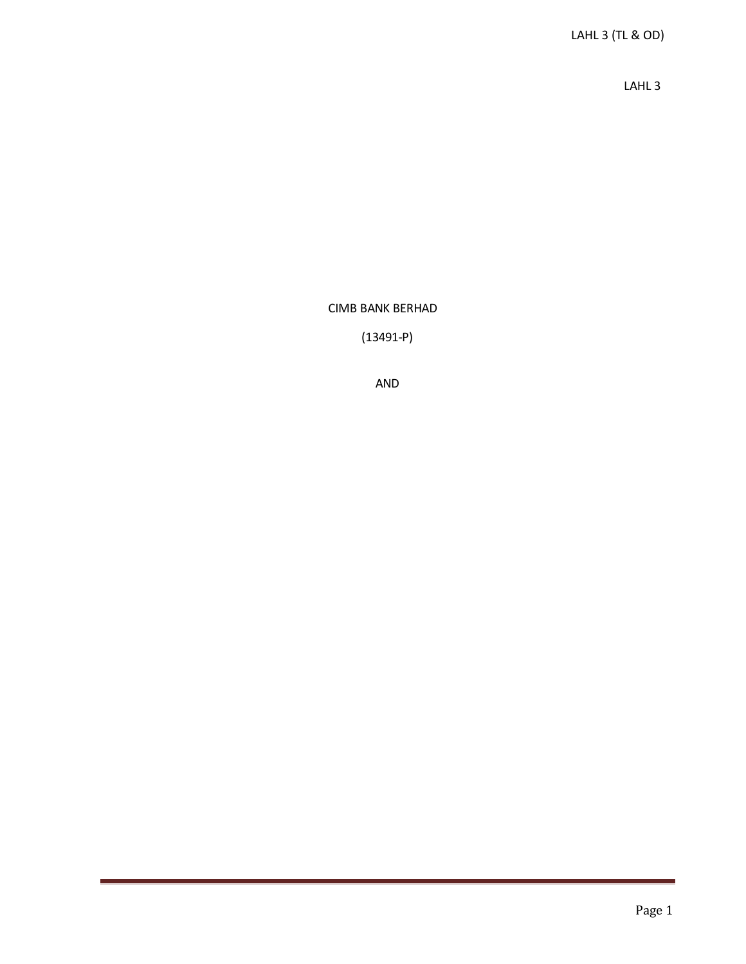LAHL 3

CIMB BANK BERHAD

(13491-P)

AND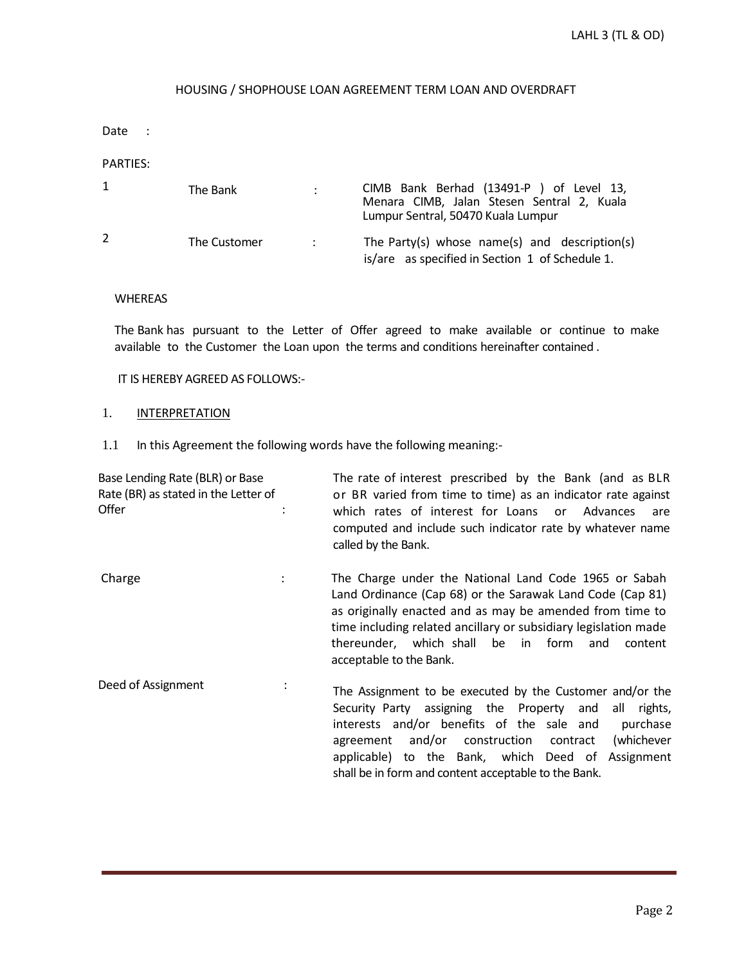# HOUSING / SHOPHOUSE LOAN AGREEMENT TERM LOAN AND OVERDRAFT

Date :

### PARTIES:

|   | The Bank     |                   | CIMB Bank Berhad (13491-P) of Level 13,<br>Menara CIMB, Jalan Stesen Sentral 2, Kuala<br>Lumpur Sentral, 50470 Kuala Lumpur |
|---|--------------|-------------------|-----------------------------------------------------------------------------------------------------------------------------|
| 2 | The Customer | $\sim$ 100 $\sim$ | The Party(s) whose name(s) and description(s)<br>is/are as specified in Section 1 of Schedule 1.                            |

### WHEREAS

The Bank has pursuant to the Letter of Offer agreed to make available or continue to make available to the Customer the Loan upon the terms and conditions hereinafter contained .

IT IS HEREBY AGREED AS FOLLOWS:-

## 1. **INTERPRETATION**

1.1 In this Agreement the following words have the following meaning:-

| Base Lending Rate (BLR) or Base<br>Rate (BR) as stated in the Letter of<br>Offer |                | The rate of interest prescribed by the Bank (and as BLR<br>or BR varied from time to time) as an indicator rate against<br>which rates of interest for Loans or<br>Advances<br>are<br>computed and include such indicator rate by whatever name<br>called by the Bank.                                                                                      |
|----------------------------------------------------------------------------------|----------------|-------------------------------------------------------------------------------------------------------------------------------------------------------------------------------------------------------------------------------------------------------------------------------------------------------------------------------------------------------------|
| Charge                                                                           |                | The Charge under the National Land Code 1965 or Sabah<br>Land Ordinance (Cap 68) or the Sarawak Land Code (Cap 81)<br>as originally enacted and as may be amended from time to<br>time including related ancillary or subsidiary legislation made<br>thereunder, which shall be in form<br>and<br>content<br>acceptable to the Bank.                        |
| Deed of Assignment                                                               | $\ddot{\cdot}$ | The Assignment to be executed by the Customer and/or the<br>Security Party assigning the Property and<br>all<br>rights,<br>interests and/or benefits of the sale and<br>purchase<br>and/or construction<br>(whichever<br>contract<br>agreement<br>applicable) to the Bank, which Deed of Assignment<br>shall be in form and content acceptable to the Bank. |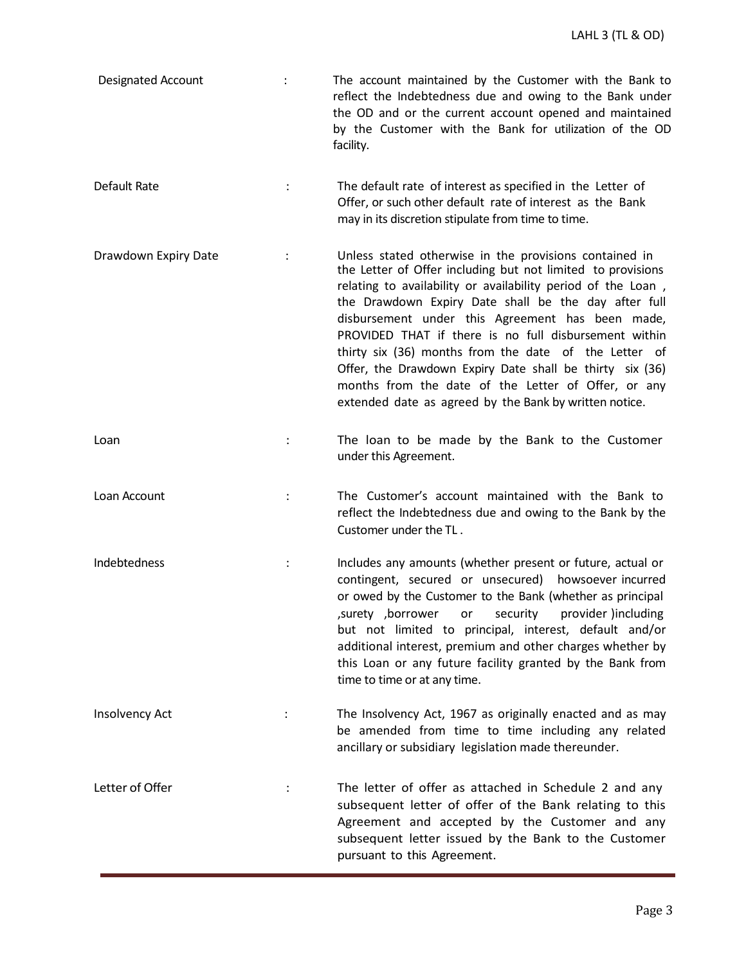Designated Account : The account maintained by the Customer with the Bank to reflect the Indebtedness due and owing to the Bank under the OD and or the current account opened and maintained by the Customer with the Bank for utilization of the OD facility. Default Rate The default rate of interest as specified in the Letter of Offer, or such other default rate of interest as the Bank may in its discretion stipulate from time to time. Drawdown Expiry Date : Unless stated otherwise in the provisions contained in the Letter of Offer including but not limited to provisions relating to availability or availability period of the Loan , the Drawdown Expiry Date shall be the day after full disbursement under this Agreement has been made, PROVIDED THAT if there is no full disbursement within thirty six (36) months from the date of the Letter of Offer, the Drawdown Expiry Date shall be thirty six (36) months from the date of the Letter of Offer, or any extended date as agreed by the Bank by written notice. Loan 1990 100 mm to be made by the Bank to the Customer under this Agreement. Loan Account : The Customer's account maintained with the Bank to reflect the Indebtedness due and owing to the Bank by the Customer under the TL . Indebtedness : Includes any amounts (whether present or future, actual or contingent, secured or unsecured) howsoever incurred or owed by the Customer to the Bank (whether as principal ,surety ,borrower or security provider )including but not limited to principal, interest, default and/or additional interest, premium and other charges whether by this Loan or any future facility granted by the Bank from time to time or at any time. Insolvency Act **include 1968** is the Insolvency Act, 1967 as originally enacted and as may be amended from time to time including any related ancillary or subsidiary legislation made thereunder. Letter of Offer **in the letter of offer as attached in Schedule 2 and any** subsequent letter of offer of the Bank relating to this Agreement and accepted by the Customer and any subsequent letter issued by the Bank to the Customer pursuant to this Agreement.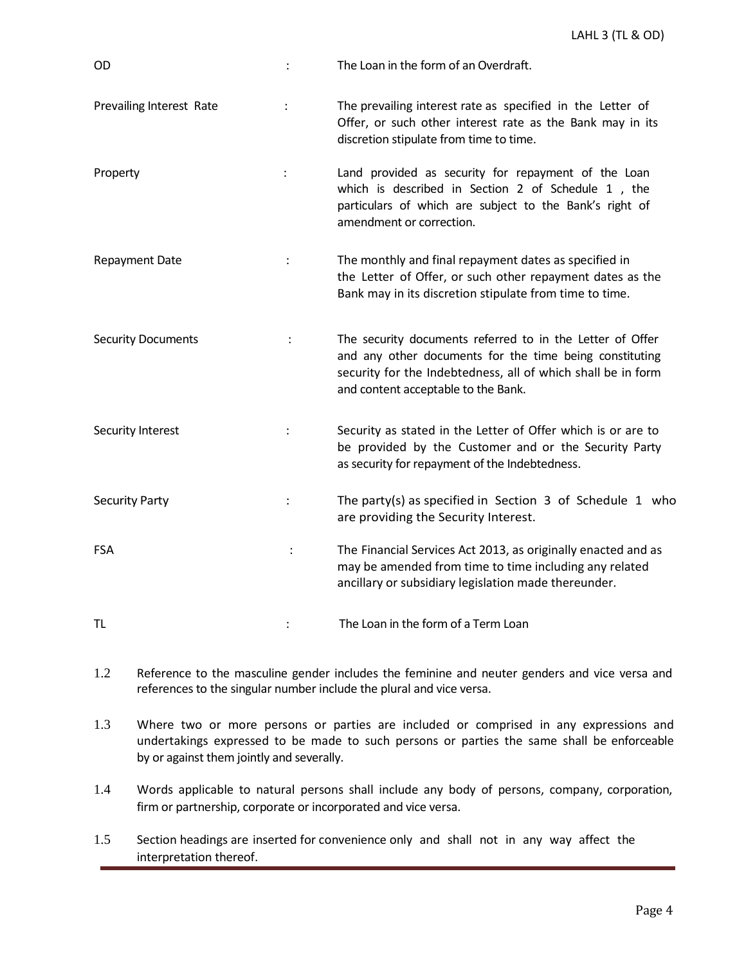| OD                        |                      | The Loan in the form of an Overdraft.                                                                                                                                                                                       |
|---------------------------|----------------------|-----------------------------------------------------------------------------------------------------------------------------------------------------------------------------------------------------------------------------|
| Prevailing Interest Rate  |                      | The prevailing interest rate as specified in the Letter of<br>Offer, or such other interest rate as the Bank may in its<br>discretion stipulate from time to time.                                                          |
| Property                  | $\ddot{\cdot}$       | Land provided as security for repayment of the Loan<br>which is described in Section 2 of Schedule 1, the<br>particulars of which are subject to the Bank's right of<br>amendment or correction.                            |
| <b>Repayment Date</b>     | $\ddot{\phantom{a}}$ | The monthly and final repayment dates as specified in<br>the Letter of Offer, or such other repayment dates as the<br>Bank may in its discretion stipulate from time to time.                                               |
| <b>Security Documents</b> | $\ddot{\phantom{a}}$ | The security documents referred to in the Letter of Offer<br>and any other documents for the time being constituting<br>security for the Indebtedness, all of which shall be in form<br>and content acceptable to the Bank. |
| Security Interest         | $\ddot{\phantom{a}}$ | Security as stated in the Letter of Offer which is or are to<br>be provided by the Customer and or the Security Party<br>as security for repayment of the Indebtedness.                                                     |
| <b>Security Party</b>     |                      | The party(s) as specified in Section $3$ of Schedule $1$ who<br>are providing the Security Interest.                                                                                                                        |
| <b>FSA</b>                |                      | The Financial Services Act 2013, as originally enacted and as<br>may be amended from time to time including any related<br>ancillary or subsidiary legislation made thereunder.                                             |
| TL                        |                      | The Loan in the form of a Term Loan                                                                                                                                                                                         |

- 1.2 Reference to the masculine gender includes the feminine and neuter genders and vice versa and references to the singular number include the plural and vice versa.
- 1.3 Where two or more persons or parties are included or comprised in any expressions and undertakings expressed to be made to such persons or parties the same shall be enforceable by or against them jointly and severally.
- 1.4 Words applicable to natural persons shall include any body of persons, company, corporation, firm or partnership, corporate or incorporated and vice versa.
- 1.5 Section headings are inserted for convenience only and shall not in any way affect the interpretation thereof.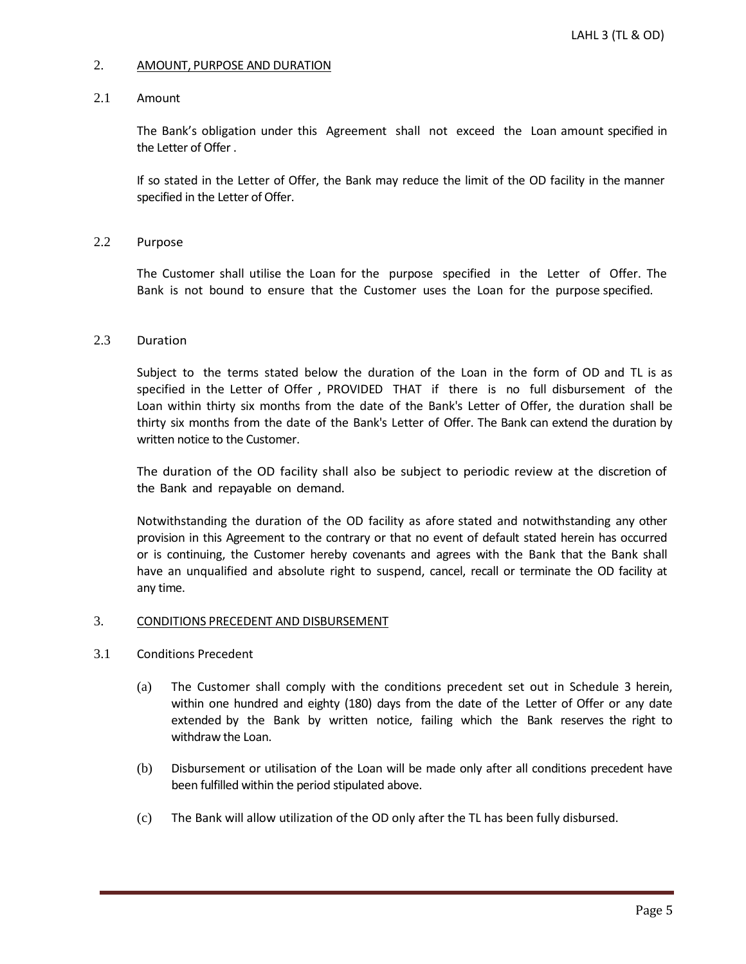### 2. AMOUNT, PURPOSE AND DURATION

## 2.1 Amount

The Bank's obligation under this Agreement shall not exceed the Loan amount specified in the Letter of Offer .

If so stated in the Letter of Offer, the Bank may reduce the limit of the OD facility in the manner specified in the Letter of Offer.

# 2.2 Purpose

The Customer shall utilise the Loan for the purpose specified in the Letter of Offer. The Bank is not bound to ensure that the Customer uses the Loan for the purpose specified.

# 2.3 Duration

Subject to the terms stated below the duration of the Loan in the form of OD and TL is as specified in the Letter of Offer , PROVIDED THAT if there is no full disbursement of the Loan within thirty six months from the date of the Bank's Letter of Offer, the duration shall be thirty six months from the date of the Bank's Letter of Offer. The Bank can extend the duration by written notice to the Customer.

The duration of the OD facility shall also be subject to periodic review at the discretion of the Bank and repayable on demand.

Notwithstanding the duration of the OD facility as afore stated and notwithstanding any other provision in this Agreement to the contrary or that no event of default stated herein has occurred or is continuing, the Customer hereby covenants and agrees with the Bank that the Bank shall have an unqualified and absolute right to suspend, cancel, recall or terminate the OD facility at any time.

### 3. CONDITIONS PRECEDENT AND DISBURSEMENT

# 3.1 Conditions Precedent

- (a) The Customer shall comply with the conditions precedent set out in Schedule 3 herein, within one hundred and eighty (180) days from the date of the Letter of Offer or any date extended by the Bank by written notice, failing which the Bank reserves the right to withdraw the Loan.
- (b) Disbursement or utilisation of the Loan will be made only after all conditions precedent have been fulfilled within the period stipulated above.
- (c) The Bank will allow utilization of the OD only after the TL has been fully disbursed.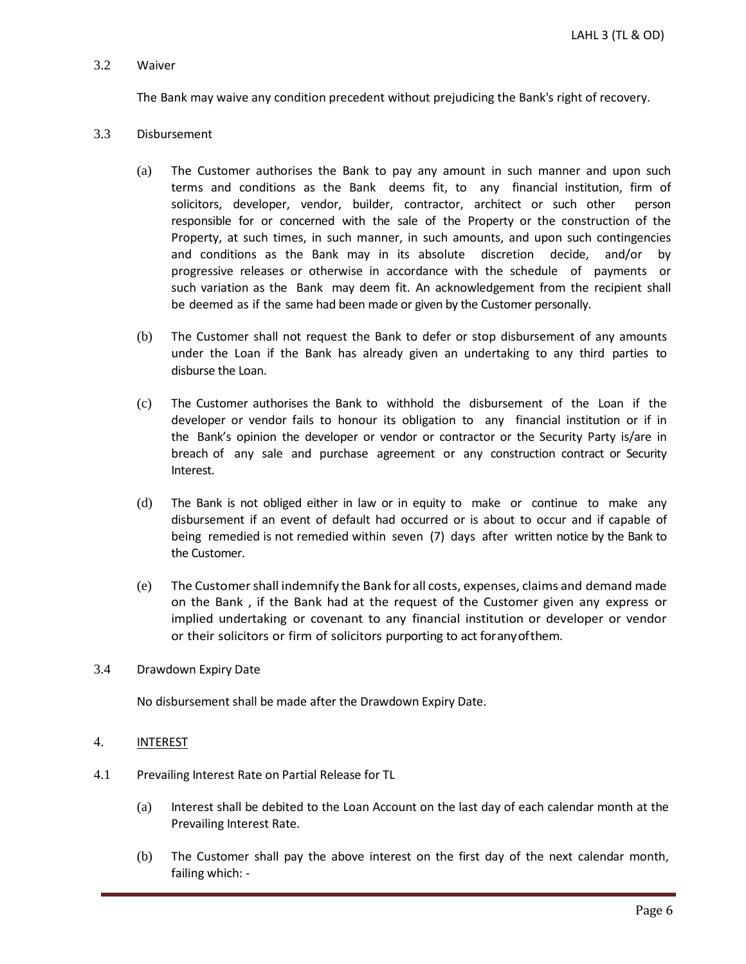## 3.2 Waiver

The Bank may waive any condition precedent without prejudicing the Bank's right of recovery.

# 3.3 Disbursement

- (a) The Customer authorises the Bank to pay any amount in such manner and upon such terms and conditions as the Bank deems fit, to any financial institution, firm of solicitors, developer, vendor, builder, contractor, architect or such other person responsible for or concerned with the sale of the Property or the construction of the Property, at such times, in such manner, in such amounts, and upon such contingencies and conditions as the Bank may in its absolute discretion decide, and/or by progressive releases or otherwise in accordance with the schedule of payments or such variation as the Bank may deem fit. An acknowledgement from the recipient shall be deemed as if the same had been made or given by the Customer personally.
- (b) The Customer shall not request the Bank to defer or stop disbursement of any amounts under the Loan if the Bank has already given an undertaking to any third parties to disburse the Loan.
- (c) The Customer authorises the Bank to withhold the disbursement of the Loan if the developer or vendor fails to honour its obligation to any financial institution or if in the Bank's opinion the developer or vendor or contractor or the Security Party is/are in breach of any sale and purchase agreement or any construction contract or Security Interest.
- (d) The Bank is not obliged either in law or in equity to make or continue to make any disbursement if an event of default had occurred or is about to occur and if capable of being remedied is not remedied within seven (7) days after written notice by the Bank to the Customer.
- (e) The Customershall indemnify the Bank for all costs, expenses, claims and demand made on the Bank , if the Bank had at the request of the Customer given any express or implied undertaking or covenant to any financial institution or developer or vendor or their solicitors or firm of solicitors purporting to act foranyofthem.
- 3.4 Drawdown Expiry Date

No disbursement shall be made after the Drawdown Expiry Date.

- 4. INTEREST
- 4.1 Prevailing Interest Rate on Partial Release for TL
	- (a) Interest shall be debited to the Loan Account on the last day of each calendar month at the Prevailing Interest Rate.
	- (b) The Customer shall pay the above interest on the first day of the next calendar month, failing which: -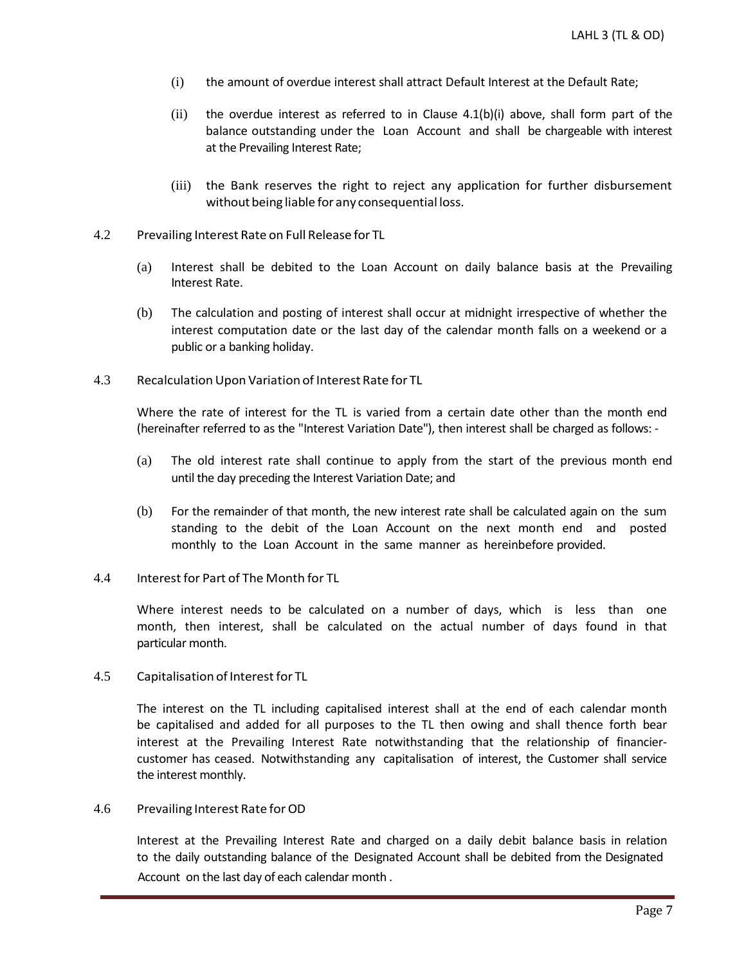- (i) the amount of overdue interest shall attract Default Interest at the Default Rate;
- $(i)$  the overdue interest as referred to in Clause 4.1(b) $(i)$  above, shall form part of the balance outstanding under the Loan Account and shall be chargeable with interest at the Prevailing Interest Rate;
- (iii) the Bank reserves the right to reject any application for further disbursement without being liable for any consequential loss.
- 4.2 Prevailing Interest Rate on Full Release for TL
	- (a) Interest shall be debited to the Loan Account on daily balance basis at the Prevailing Interest Rate.
	- (b) The calculation and posting of interest shall occur at midnight irrespective of whether the interest computation date or the last day of the calendar month falls on a weekend or a public or a banking holiday.
- 4.3 Recalculation Upon Variation of Interest Rate for TL

Where the rate of interest for the TL is varied from a certain date other than the month end (hereinafter referred to as the "Interest Variation Date"), then interest shall be charged as follows: -

- (a) The old interest rate shall continue to apply from the start of the previous month end until the day preceding the Interest Variation Date; and
- (b) For the remainder of that month, the new interest rate shall be calculated again on the sum standing to the debit of the Loan Account on the next month end and posted monthly to the Loan Account in the same manner as hereinbefore provided.
- 4.4 Interest for Part of The Month for TL

Where interest needs to be calculated on a number of days, which is less than one month, then interest, shall be calculated on the actual number of days found in that particular month.

4.5 Capitalisation of Interest for TL

The interest on the TL including capitalised interest shall at the end of each calendar month be capitalised and added for all purposes to the TL then owing and shall thence forth bear interest at the Prevailing Interest Rate notwithstanding that the relationship of financiercustomer has ceased. Notwithstanding any capitalisation of interest, the Customer shall service the interest monthly.

4.6 Prevailing Interest Rate forOD

Interest at the Prevailing Interest Rate and charged on a daily debit balance basis in relation to the daily outstanding balance of the Designated Account shall be debited from the Designated Account on the last day of each calendar month .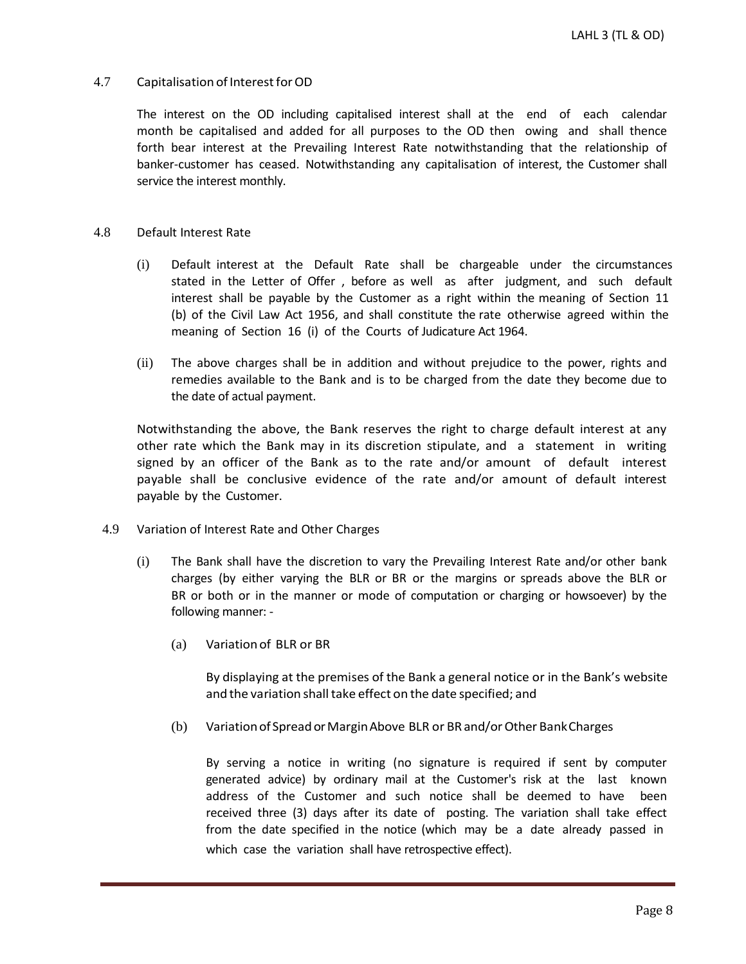# 4.7 Capitalisation of Interest for OD

The interest on the OD including capitalised interest shall at the end of each calendar month be capitalised and added for all purposes to the OD then owing and shall thence forth bear interest at the Prevailing Interest Rate notwithstanding that the relationship of banker-customer has ceased. Notwithstanding any capitalisation of interest, the Customer shall service the interest monthly.

#### 4.8 Default Interest Rate

- (i) Default interest at the Default Rate shall be chargeable under the circumstances stated in the Letter of Offer , before as well as after judgment, and such default interest shall be payable by the Customer as a right within the meaning of Section 11 (b) of the Civil Law Act 1956, and shall constitute the rate otherwise agreed within the meaning of Section 16 (i) of the Courts of Judicature Act 1964.
- (ii) The above charges shall be in addition and without prejudice to the power, rights and remedies available to the Bank and is to be charged from the date they become due to the date of actual payment.

Notwithstanding the above, the Bank reserves the right to charge default interest at any other rate which the Bank may in its discretion stipulate, and a statement in writing signed by an officer of the Bank as to the rate and/or amount of default interest payable shall be conclusive evidence of the rate and/or amount of default interest payable by the Customer.

- 4.9 Variation of Interest Rate and Other Charges
	- (i) The Bank shall have the discretion to vary the Prevailing Interest Rate and/or other bank charges (by either varying the BLR or BR or the margins or spreads above the BLR or BR or both or in the manner or mode of computation or charging or howsoever) by the following manner: -
		- (a) Variationof BLR or BR

By displaying at the premises of the Bank a general notice or in the Bank's website and the variation shall take effect on the date specified; and

(b) Variationof SpreadorMarginAbove BLR or BRand/orOther BankCharges

By serving a notice in writing (no signature is required if sent by computer generated advice) by ordinary mail at the Customer's risk at the last known address of the Customer and such notice shall be deemed to have been received three (3) days after its date of posting. The variation shall take effect from the date specified in the notice (which may be a date already passed in which case the variation shall have retrospective effect).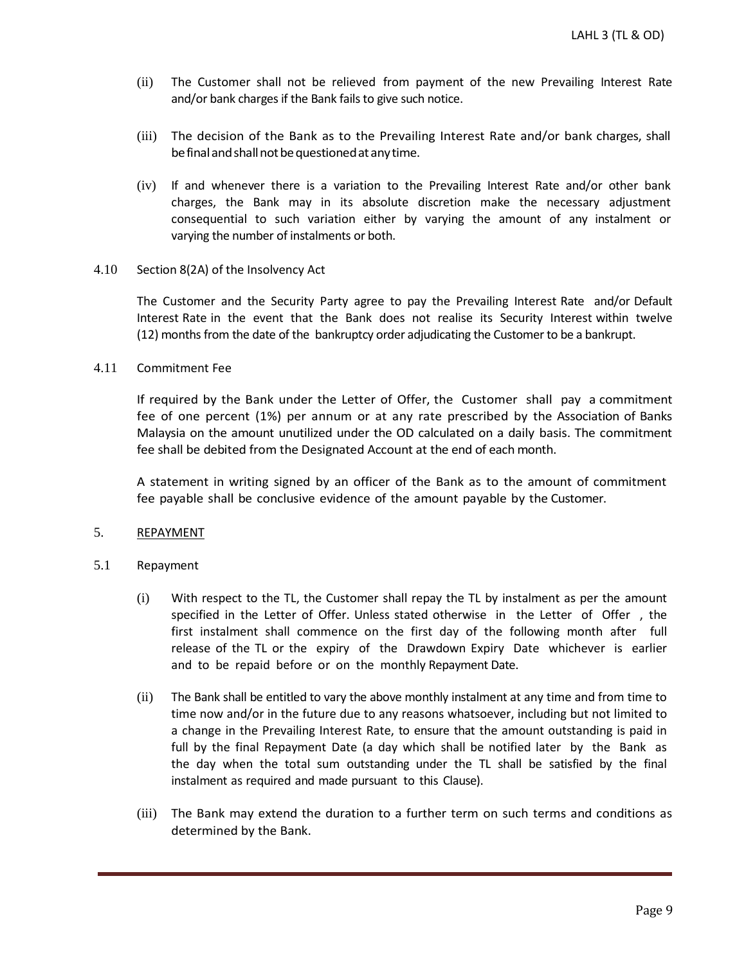- (ii) The Customer shall not be relieved from payment of the new Prevailing Interest Rate and/or bank charges if the Bank fails to give such notice.
- (iii) The decision of the Bank as to the Prevailing Interest Rate and/or bank charges, shall be final and shall not be questioned at any time.
- (iv) If and whenever there is a variation to the Prevailing Interest Rate and/or other bank charges, the Bank may in its absolute discretion make the necessary adjustment consequential to such variation either by varying the amount of any instalment or varying the number of instalments or both.

#### 4.10 Section 8(2A) of the Insolvency Act

The Customer and the Security Party agree to pay the Prevailing Interest Rate and/or Default Interest Rate in the event that the Bank does not realise its Security Interest within twelve (12) months from the date of the bankruptcy order adjudicating the Customer to be a bankrupt.

## 4.11 Commitment Fee

If required by the Bank under the Letter of Offer, the Customer shall pay a commitment fee of one percent (1%) per annum or at any rate prescribed by the Association of Banks Malaysia on the amount unutilized under the OD calculated on a daily basis. The commitment fee shall be debited from the Designated Account at the end of each month.

A statement in writing signed by an officer of the Bank as to the amount of commitment fee payable shall be conclusive evidence of the amount payable by the Customer.

### 5. REPAYMENT

### 5.1 Repayment

- (i) With respect to the TL, the Customer shall repay the TL by instalment as per the amount specified in the Letter of Offer. Unless stated otherwise in the Letter of Offer , the first instalment shall commence on the first day of the following month after full release of the TL or the expiry of the Drawdown Expiry Date whichever is earlier and to be repaid before or on the monthly Repayment Date.
- (ii) The Bank shall be entitled to vary the above monthly instalment at any time and from time to time now and/or in the future due to any reasons whatsoever, including but not limited to a change in the Prevailing Interest Rate, to ensure that the amount outstanding is paid in full by the final Repayment Date (a day which shall be notified later by the Bank as the day when the total sum outstanding under the TL shall be satisfied by the final instalment as required and made pursuant to this Clause).
- (iii) The Bank may extend the duration to a further term on such terms and conditions as determined by the Bank.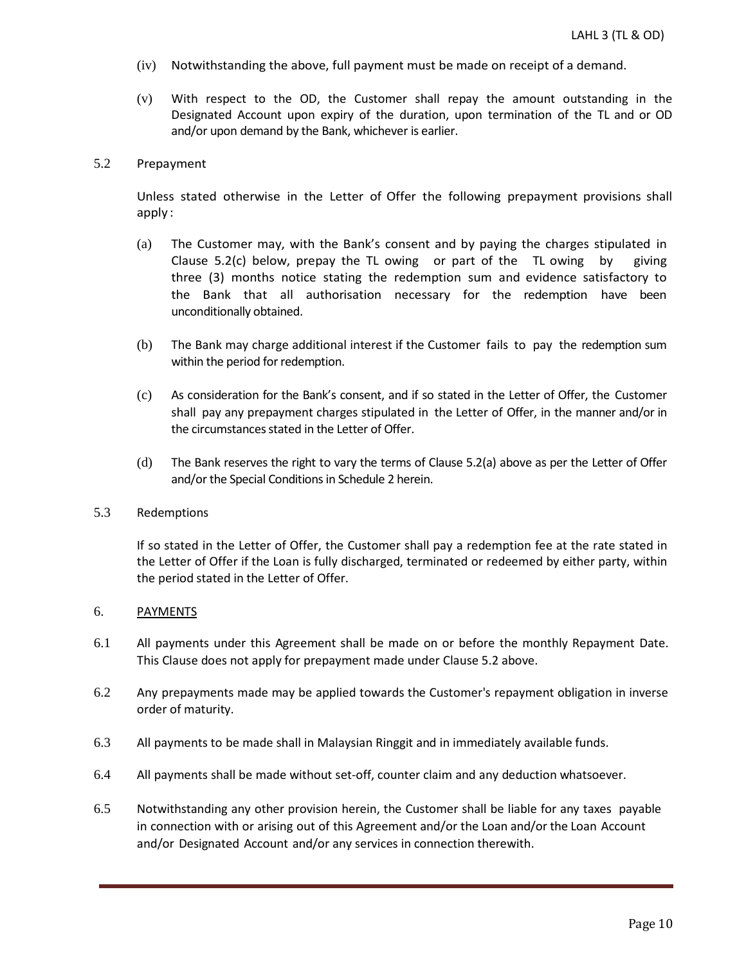- (iv) Notwithstanding the above, full payment must be made on receipt of a demand.
- (v) With respect to the OD, the Customer shall repay the amount outstanding in the Designated Account upon expiry of the duration, upon termination of the TL and or OD and/or upon demand by the Bank, whichever is earlier.

## 5.2 Prepayment

Unless stated otherwise in the Letter of Offer the following prepayment provisions shall apply :

- (a) The Customer may, with the Bank's consent and by paying the charges stipulated in Clause 5.2(c) below, prepay the TL owing or part of the TL owing by giving three (3) months notice stating the redemption sum and evidence satisfactory to the Bank that all authorisation necessary for the redemption have been unconditionally obtained.
- (b) The Bank may charge additional interest if the Customer fails to pay the redemption sum within the period for redemption.
- (c) As consideration for the Bank's consent, and if so stated in the Letter of Offer, the Customer shall pay any prepayment charges stipulated in the Letter of Offer, in the manner and/or in the circumstances stated in the Letter of Offer.
- (d) The Bank reserves the right to vary the terms of Clause 5.2(a) above as per the Letter of Offer and/or the Special Conditions in Schedule 2 herein.

### 5.3 Redemptions

If so stated in the Letter of Offer, the Customer shall pay a redemption fee at the rate stated in the Letter of Offer if the Loan is fully discharged, terminated or redeemed by either party, within the period stated in the Letter of Offer.

### 6. PAYMENTS

- 6.1 All payments under this Agreement shall be made on or before the monthly Repayment Date. This Clause does not apply for prepayment made under Clause 5.2 above.
- 6.2 Any prepayments made may be applied towards the Customer's repayment obligation in inverse order of maturity.
- 6.3 All payments to be made shall in Malaysian Ringgit and in immediately available funds.
- 6.4 All payments shall be made without set-off, counter claim and any deduction whatsoever.
- 6.5 Notwithstanding any other provision herein, the Customer shall be liable for any taxes payable in connection with or arising out of this Agreement and/or the Loan and/or the Loan Account and/or Designated Account and/or any services in connection therewith.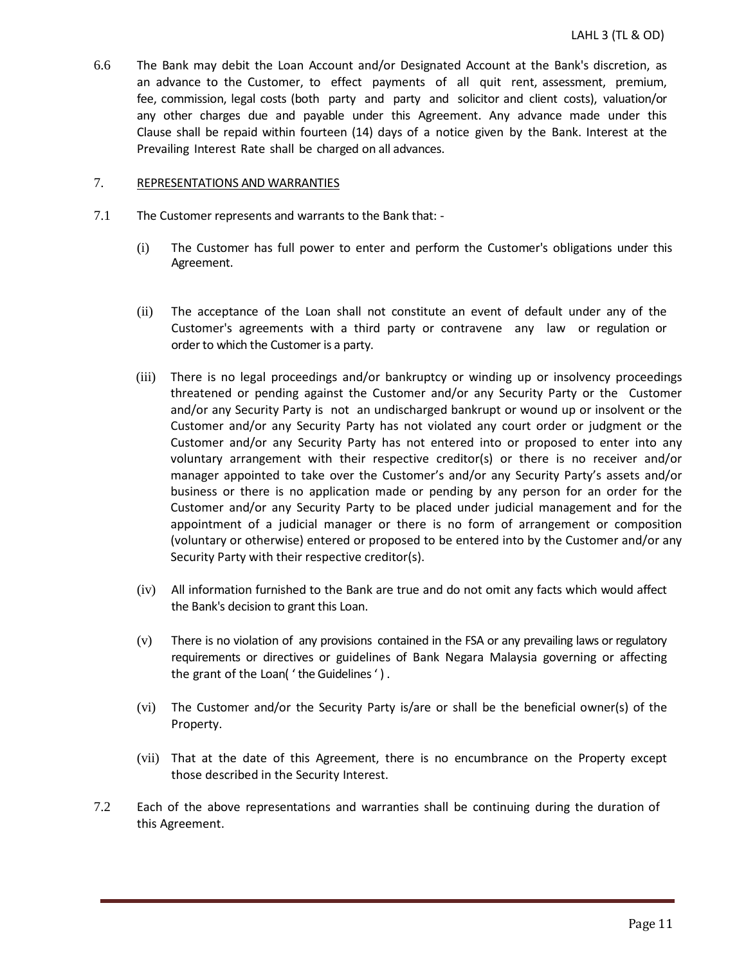6.6 The Bank may debit the Loan Account and/or Designated Account at the Bank's discretion, as an advance to the Customer, to effect payments of all quit rent, assessment, premium, fee, commission, legal costs (both party and party and solicitor and client costs), valuation/or any other charges due and payable under this Agreement. Any advance made under this Clause shall be repaid within fourteen (14) days of a notice given by the Bank. Interest at the Prevailing Interest Rate shall be charged on all advances.

#### 7. REPRESENTATIONS AND WARRANTIES

- 7.1 The Customer represents and warrants to the Bank that:
	- (i) The Customer has full power to enter and perform the Customer's obligations under this Agreement.
	- (ii) The acceptance of the Loan shall not constitute an event of default under any of the Customer's agreements with a third party or contravene any law or regulation or order to which the Customer is a party.
	- (iii) There is no legal proceedings and/or bankruptcy or winding up or insolvency proceedings threatened or pending against the Customer and/or any Security Party or the Customer and/or any Security Party is not an undischarged bankrupt or wound up or insolvent or the Customer and/or any Security Party has not violated any court order or judgment or the Customer and/or any Security Party has not entered into or proposed to enter into any voluntary arrangement with their respective creditor(s) or there is no receiver and/or manager appointed to take over the Customer's and/or any Security Party's assets and/or business or there is no application made or pending by any person for an order for the Customer and/or any Security Party to be placed under judicial management and for the appointment of a judicial manager or there is no form of arrangement or composition (voluntary or otherwise) entered or proposed to be entered into by the Customer and/or any Security Party with their respective creditor(s).
	- (iv) All information furnished to the Bank are true and do not omit any facts which would affect the Bank's decision to grant this Loan.
	- (v) There is no violation of any provisions contained in the FSA or any prevailing laws or regulatory requirements or directives or guidelines of Bank Negara Malaysia governing or affecting the grant of the Loan( ' the Guidelines' ) .
	- (vi) The Customer and/or the Security Party is/are or shall be the beneficial owner(s) of the Property.
	- (vii) That at the date of this Agreement, there is no encumbrance on the Property except those described in the Security Interest.
- 7.2 Each of the above representations and warranties shall be continuing during the duration of this Agreement.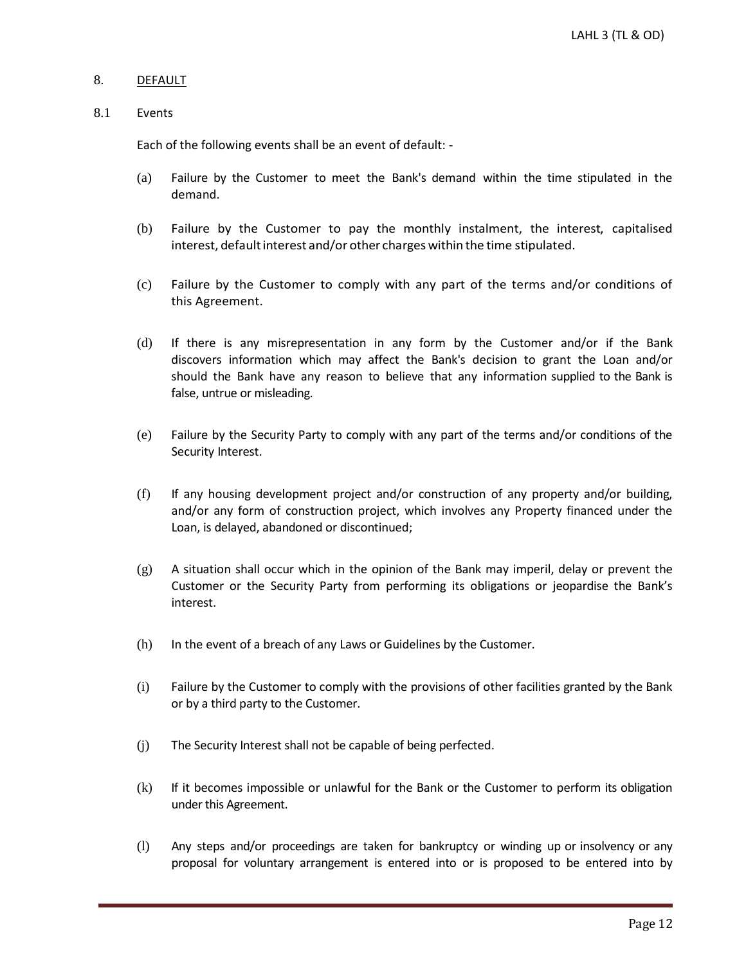# 8. DEFAULT

#### 8.1 Events

Each of the following events shall be an event of default: -

- (a) Failure by the Customer to meet the Bank's demand within the time stipulated in the demand.
- (b) Failure by the Customer to pay the monthly instalment, the interest, capitalised interest, default interest and/or other charges within the time stipulated.
- (c) Failure by the Customer to comply with any part of the terms and/or conditions of this Agreement.
- (d) If there is any misrepresentation in any form by the Customer and/or if the Bank discovers information which may affect the Bank's decision to grant the Loan and/or should the Bank have any reason to believe that any information supplied to the Bank is false, untrue or misleading.
- (e) Failure by the Security Party to comply with any part of the terms and/or conditions of the Security Interest.
- (f) If any housing development project and/or construction of any property and/or building, and/or any form of construction project, which involves any Property financed under the Loan, is delayed, abandoned or discontinued;
- $(g)$  A situation shall occur which in the opinion of the Bank may imperil, delay or prevent the Customer or the Security Party from performing its obligations or jeopardise the Bank's interest.
- (h) In the event of a breach of any Laws or Guidelines by the Customer.
- (i) Failure by the Customer to comply with the provisions of other facilities granted by the Bank or by a third party to the Customer.
- (j) The Security Interest shall not be capable of being perfected.
- (k) If it becomes impossible or unlawful for the Bank or the Customer to perform its obligation under this Agreement.
- (l) Any steps and/or proceedings are taken for bankruptcy or winding up or insolvency or any proposal for voluntary arrangement is entered into or is proposed to be entered into by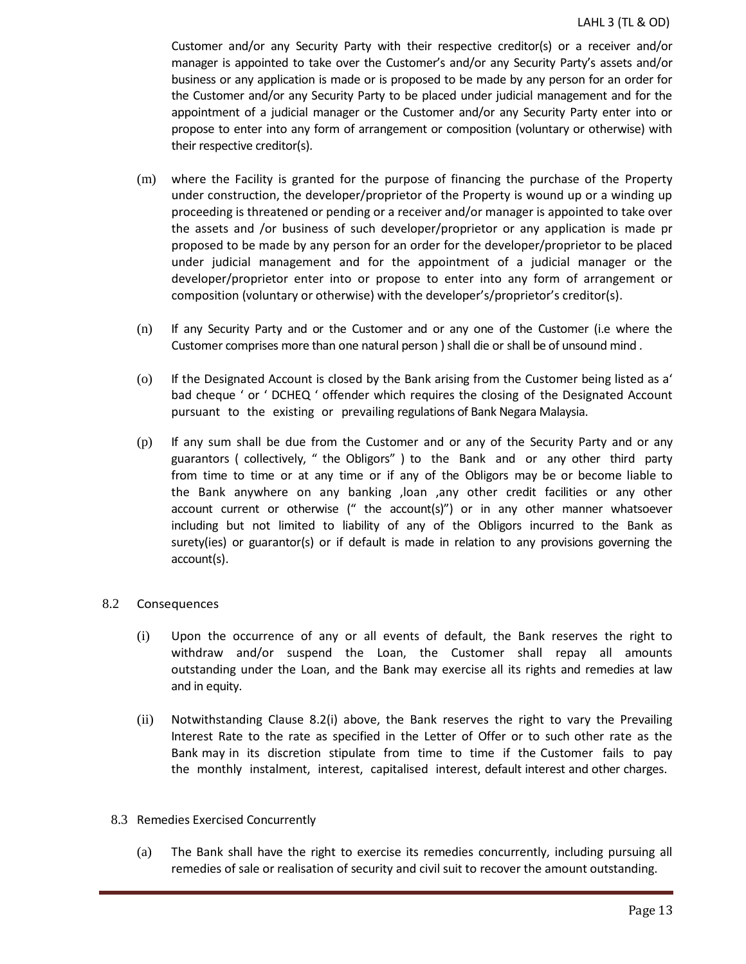Customer and/or any Security Party with their respective creditor(s) or a receiver and/or manager is appointed to take over the Customer's and/or any Security Party's assets and/or business or any application is made or is proposed to be made by any person for an order for the Customer and/or any Security Party to be placed under judicial management and for the appointment of a judicial manager or the Customer and/or any Security Party enter into or propose to enter into any form of arrangement or composition (voluntary or otherwise) with their respective creditor(s).

- (m) where the Facility is granted for the purpose of financing the purchase of the Property under construction, the developer/proprietor of the Property is wound up or a winding up proceeding is threatened or pending or a receiver and/or manager is appointed to take over the assets and /or business of such developer/proprietor or any application is made pr proposed to be made by any person for an order for the developer/proprietor to be placed under judicial management and for the appointment of a judicial manager or the developer/proprietor enter into or propose to enter into any form of arrangement or composition (voluntary or otherwise) with the developer's/proprietor's creditor(s).
- (n) If any Security Party and or the Customer and or any one of the Customer (i.e where the Customer comprises more than one natural person ) shall die or shall be of unsound mind .
- (o) If the Designated Account is closed by the Bank arising from the Customer being listed as a' bad cheque ' or ' DCHEQ ' offender which requires the closing of the Designated Account pursuant to the existing or prevailing regulations of Bank Negara Malaysia.
- (p) If any sum shall be due from the Customer and or any of the Security Party and or any guarantors ( collectively, " the Obligors" ) to the Bank and or any other third party from time to time or at any time or if any of the Obligors may be or become liable to the Bank anywhere on any banking ,loan ,any other credit facilities or any other account current or otherwise (" the account(s)") or in any other manner whatsoever including but not limited to liability of any of the Obligors incurred to the Bank as surety(ies) or guarantor(s) or if default is made in relation to any provisions governing the account(s).

# 8.2 Consequences

- (i) Upon the occurrence of any or all events of default, the Bank reserves the right to withdraw and/or suspend the Loan, the Customer shall repay all amounts outstanding under the Loan, and the Bank may exercise all its rights and remedies at law and in equity.
- (ii) Notwithstanding Clause 8.2(i) above, the Bank reserves the right to vary the Prevailing Interest Rate to the rate as specified in the Letter of Offer or to such other rate as the Bank may in its discretion stipulate from time to time if the Customer fails to pay the monthly instalment, interest, capitalised interest, default interest and other charges.
- 8.3 Remedies Exercised Concurrently
	- (a) The Bank shall have the right to exercise its remedies concurrently, including pursuing all remedies of sale or realisation of security and civil suit to recover the amount outstanding.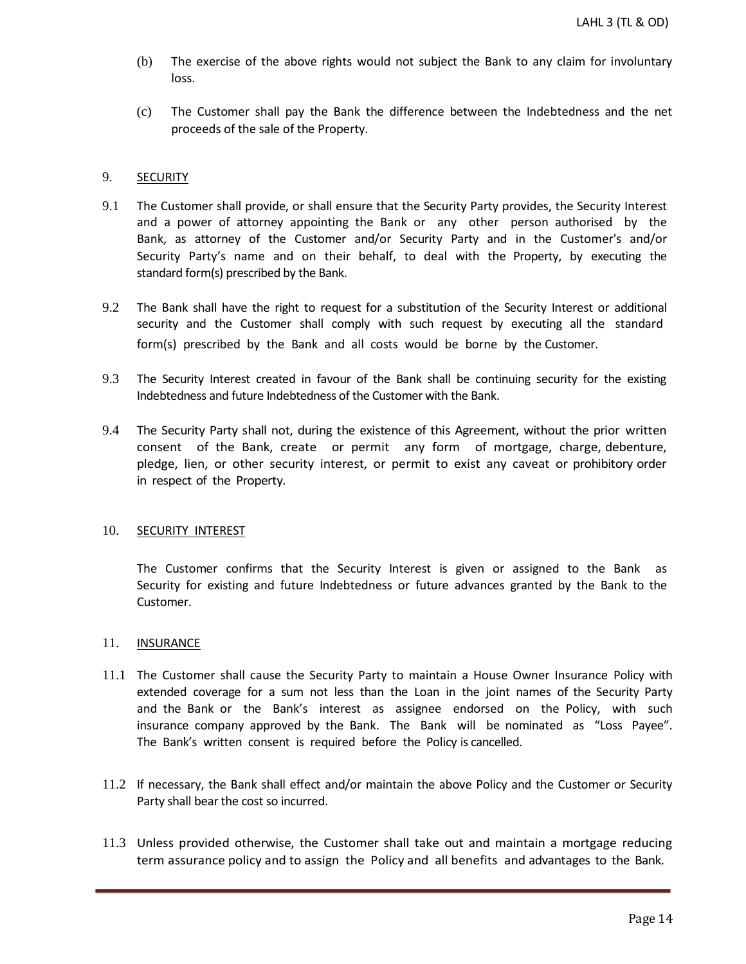- (b) The exercise of the above rights would not subject the Bank to any claim for involuntary loss.
- (c) The Customer shall pay the Bank the difference between the Indebtedness and the net proceeds of the sale of the Property.

## 9. SECURITY

- 9.1 The Customer shall provide, or shall ensure that the Security Party provides, the Security Interest and a power of attorney appointing the Bank or any other person authorised by the Bank, as attorney of the Customer and/or Security Party and in the Customer's and/or Security Party's name and on their behalf, to deal with the Property, by executing the standard form(s) prescribed by the Bank.
- 9.2 The Bank shall have the right to request for a substitution of the Security Interest or additional security and the Customer shall comply with such request by executing all the standard form(s) prescribed by the Bank and all costs would be borne by the Customer.
- 9.3 The Security Interest created in favour of the Bank shall be continuing security for the existing Indebtedness and future Indebtedness of the Customer with the Bank.
- 9.4 The Security Party shall not, during the existence of this Agreement, without the prior written consent of the Bank, create or permit any form of mortgage, charge, debenture, pledge, lien, or other security interest, or permit to exist any caveat or prohibitory order in respect of the Property.

### 10. SECURITY INTEREST

The Customer confirms that the Security Interest is given or assigned to the Bank as Security for existing and future Indebtedness or future advances granted by the Bank to the Customer.

### 11. **INSURANCE**

- 11.1 The Customer shall cause the Security Party to maintain a House Owner Insurance Policy with extended coverage for a sum not less than the Loan in the joint names of the Security Party and the Bank or the Bank's interest as assignee endorsed on the Policy, with such insurance company approved by the Bank. The Bank will be nominated as "Loss Payee". The Bank's written consent is required before the Policy is cancelled.
- 11.2 If necessary, the Bank shall effect and/or maintain the above Policy and the Customer or Security Party shall bear the cost so incurred.
- 11.3 Unless provided otherwise, the Customer shall take out and maintain a mortgage reducing term assurance policy and to assign the Policy and all benefits and advantages to the Bank.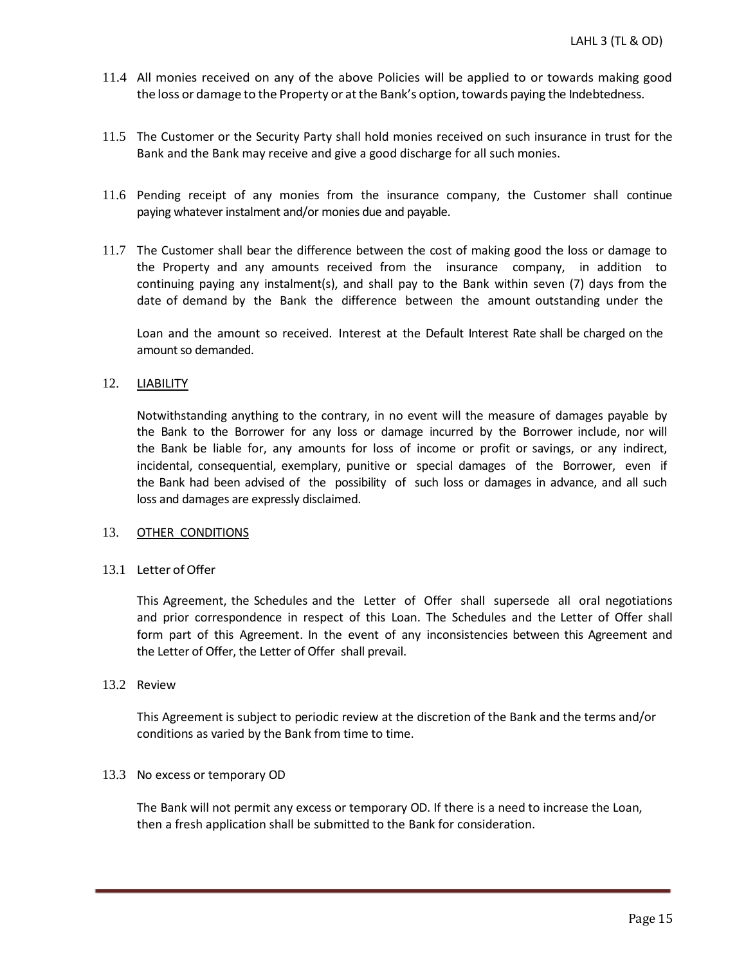- 11.4 All monies received on any of the above Policies will be applied to or towards making good the loss or damage to the Property or at the Bank's option, towards paying the Indebtedness.
- 11.5 The Customer or the Security Party shall hold monies received on such insurance in trust for the Bank and the Bank may receive and give a good discharge for all such monies.
- 11.6 Pending receipt of any monies from the insurance company, the Customer shall continue paying whatever instalment and/or monies due and payable.
- 11.7 The Customer shall bear the difference between the cost of making good the loss or damage to the Property and any amounts received from the insurance company, in addition to continuing paying any instalment(s), and shall pay to the Bank within seven (7) days from the date of demand by the Bank the difference between the amount outstanding under the

Loan and the amount so received. Interest at the Default Interest Rate shall be charged on the amount so demanded.

## 12. LIABILITY

Notwithstanding anything to the contrary, in no event will the measure of damages payable by the Bank to the Borrower for any loss or damage incurred by the Borrower include, nor will the Bank be liable for, any amounts for loss of income or profit or savings, or any indirect, incidental, consequential, exemplary, punitive or special damages of the Borrower, even if the Bank had been advised of the possibility of such loss or damages in advance, and all such loss and damages are expressly disclaimed.

### 13. OTHER CONDITIONS

# 13.1 Letter of Offer

This Agreement, the Schedules and the Letter of Offer shall supersede all oral negotiations and prior correspondence in respect of this Loan. The Schedules and the Letter of Offer shall form part of this Agreement. In the event of any inconsistencies between this Agreement and the Letter of Offer, the Letter of Offer shall prevail.

### 13.2 Review

This Agreement is subject to periodic review at the discretion of the Bank and the terms and/or conditions as varied by the Bank from time to time.

### 13.3 No excess or temporary OD

The Bank will not permit any excess or temporary OD. If there is a need to increase the Loan, then a fresh application shall be submitted to the Bank for consideration.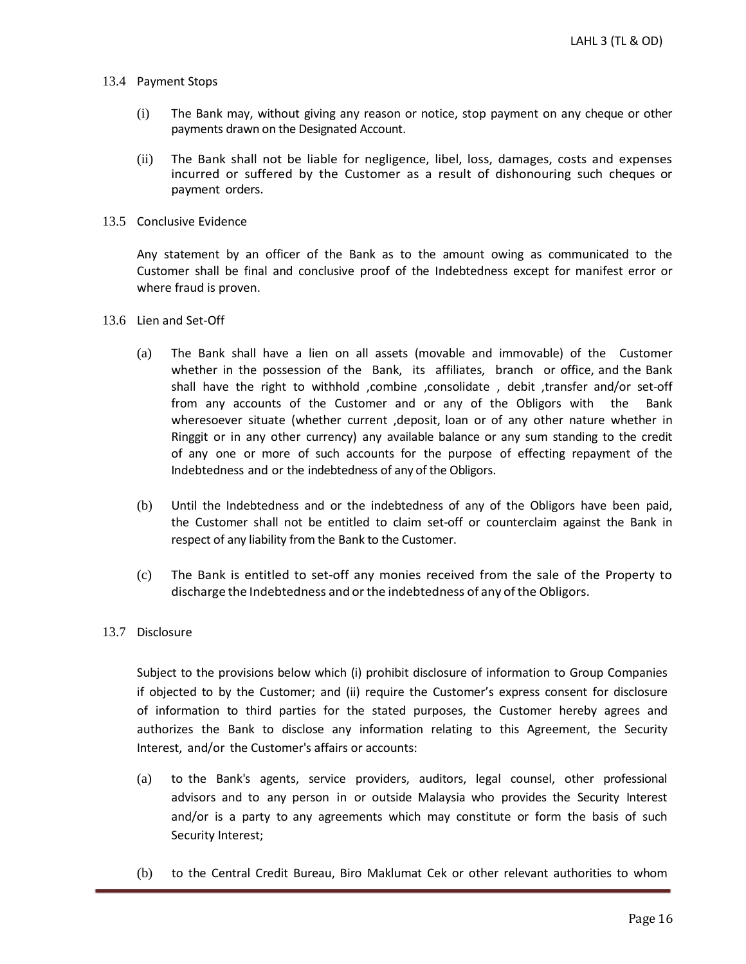- 13.4 Payment Stops
	- (i) The Bank may, without giving any reason or notice, stop payment on any cheque or other payments drawn on the Designated Account.
	- (ii) The Bank shall not be liable for negligence, libel, loss, damages, costs and expenses incurred or suffered by the Customer as a result of dishonouring such cheques or payment orders.
- 13.5 Conclusive Evidence

Any statement by an officer of the Bank as to the amount owing as communicated to the Customer shall be final and conclusive proof of the Indebtedness except for manifest error or where fraud is proven.

- 13.6 Lien and Set-Off
	- (a) The Bank shall have a lien on all assets (movable and immovable) of the Customer whether in the possession of the Bank, its affiliates, branch or office, and the Bank shall have the right to withhold ,combine ,consolidate , debit ,transfer and/or set-off from any accounts of the Customer and or any of the Obligors with the Bank wheresoever situate (whether current ,deposit, loan or of any other nature whether in Ringgit or in any other currency) any available balance or any sum standing to the credit of any one or more of such accounts for the purpose of effecting repayment of the Indebtedness and or the indebtedness of any of the Obligors.
	- (b) Until the Indebtedness and or the indebtedness of any of the Obligors have been paid, the Customer shall not be entitled to claim set-off or counterclaim against the Bank in respect of any liability from the Bank to the Customer.
	- (c) The Bank is entitled to set-off any monies received from the sale of the Property to discharge the Indebtedness and or the indebtedness of any of the Obligors.

### 13.7 Disclosure

Subject to the provisions below which (i) prohibit disclosure of information to Group Companies if objected to by the Customer; and (ii) require the Customer's express consent for disclosure of information to third parties for the stated purposes, the Customer hereby agrees and authorizes the Bank to disclose any information relating to this Agreement, the Security Interest, and/or the Customer's affairs or accounts:

- (a) to the Bank's agents, service providers, auditors, legal counsel, other professional advisors and to any person in or outside Malaysia who provides the Security Interest and/or is a party to any agreements which may constitute or form the basis of such Security Interest;
- (b) to the Central Credit Bureau, Biro Maklumat Cek or other relevant authorities to whom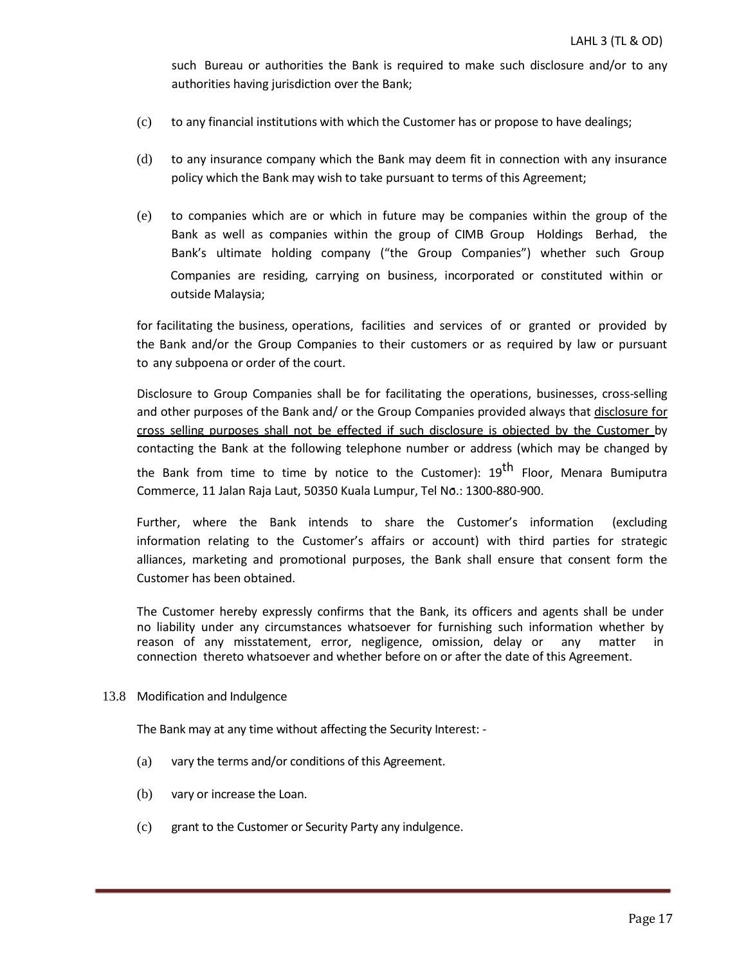such Bureau or authorities the Bank is required to make such disclosure and/or to any authorities having jurisdiction over the Bank;

- (c) to any financial institutions with which the Customer has or propose to have dealings;
- (d) to any insurance company which the Bank may deem fit in connection with any insurance policy which the Bank may wish to take pursuant to terms of this Agreement;
- (e) to companies which are or which in future may be companies within the group of the Bank as well as companies within the group of CIMB Group Holdings Berhad, the Bank's ultimate holding company ("the Group Companies") whether such Group Companies are residing, carrying on business, incorporated or constituted within or outside Malaysia;

for facilitating the business, operations, facilities and services of or granted or provided by the Bank and/or the Group Companies to their customers or as required by law or pursuant to any subpoena or order of the court.

Disclosure to Group Companies shall be for facilitating the operations, businesses, cross-selling and other purposes of the Bank and/ or the Group Companies provided always that disclosure for cross selling purposes shall not be effected if such disclosure is objected by the Customer by contacting the Bank at the following telephone number or address (which may be changed by the Bank from time to time by notice to the Customer):  $19<sup>th</sup>$  Floor, Menara Bumiputra

Commerce, 11 Jalan Raja Laut, 50350 Kuala Lumpur, Tel No.: 1300-880-900.

Further, where the Bank intends to share the Customer's information (excluding information relating to the Customer's affairs or account) with third parties for strategic alliances, marketing and promotional purposes, the Bank shall ensure that consent form the Customer has been obtained.

The Customer hereby expressly confirms that the Bank, its officers and agents shall be under no liability under any circumstances whatsoever for furnishing such information whether by reason of any misstatement, error, negligence, omission, delay or any matter in connection thereto whatsoever and whether before on or after the date of this Agreement.

### 13.8 Modification and Indulgence

The Bank may at any time without affecting the Security Interest: -

- (a) vary the terms and/or conditions of this Agreement.
- (b) vary or increase the Loan.
- (c) grant to the Customer or Security Party any indulgence.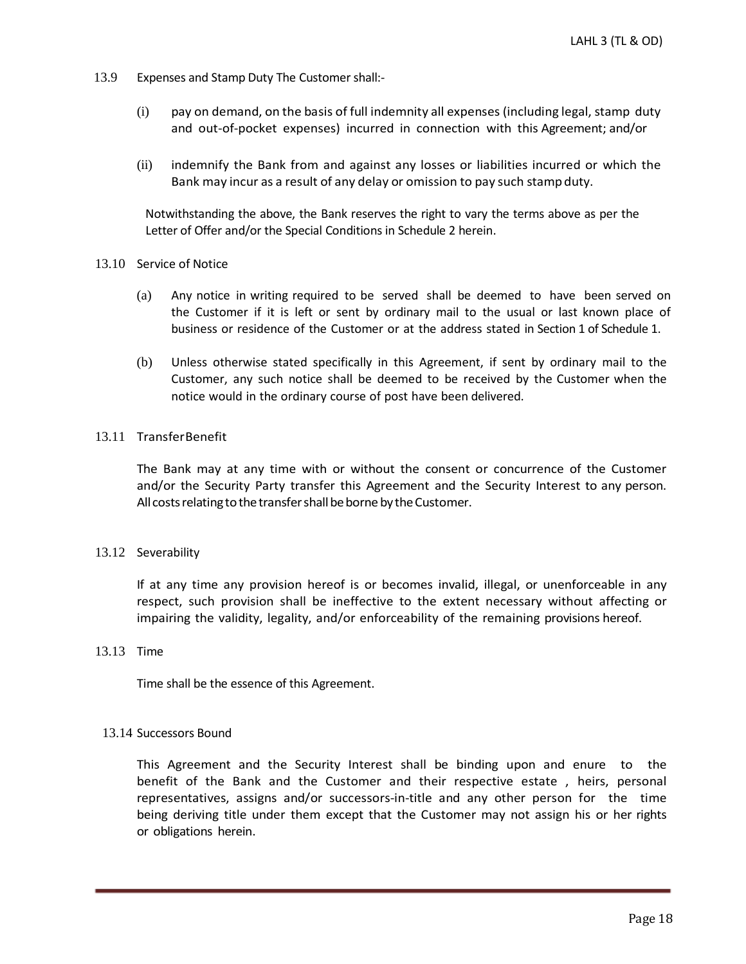- 13.9 Expenses and Stamp Duty The Customer shall:-
	- (i) pay on demand, on the basis of full indemnity all expenses (including legal, stamp duty and out-of-pocket expenses) incurred in connection with this Agreement; and/or
	- (ii) indemnify the Bank from and against any losses or liabilities incurred or which the Bank may incur as a result of any delay or omission to pay such stamp duty.

Notwithstanding the above, the Bank reserves the right to vary the terms above as per the Letter of Offer and/or the Special Conditions in Schedule 2 herein.

### 13.10 Service of Notice

- (a) Any notice in writing required to be served shall be deemed to have been served on the Customer if it is left or sent by ordinary mail to the usual or last known place of business or residence of the Customer or at the address stated in Section 1 of Schedule 1.
- (b) Unless otherwise stated specifically in this Agreement, if sent by ordinary mail to the Customer, any such notice shall be deemed to be received by the Customer when the notice would in the ordinary course of post have been delivered.

## 13.11 TransferBenefit

The Bank may at any time with or without the consent or concurrence of the Customer and/or the Security Party transfer this Agreement and the Security Interest to any person. All costs relating to the transfer shall be borne by the Customer.

### 13.12 Severability

If at any time any provision hereof is or becomes invalid, illegal, or unenforceable in any respect, such provision shall be ineffective to the extent necessary without affecting or impairing the validity, legality, and/or enforceability of the remaining provisions hereof.

## 13.13 Time

Time shall be the essence of this Agreement.

### 13.14 Successors Bound

This Agreement and the Security Interest shall be binding upon and enure to the benefit of the Bank and the Customer and their respective estate , heirs, personal representatives, assigns and/or successors-in-title and any other person for the time being deriving title under them except that the Customer may not assign his or her rights or obligations herein.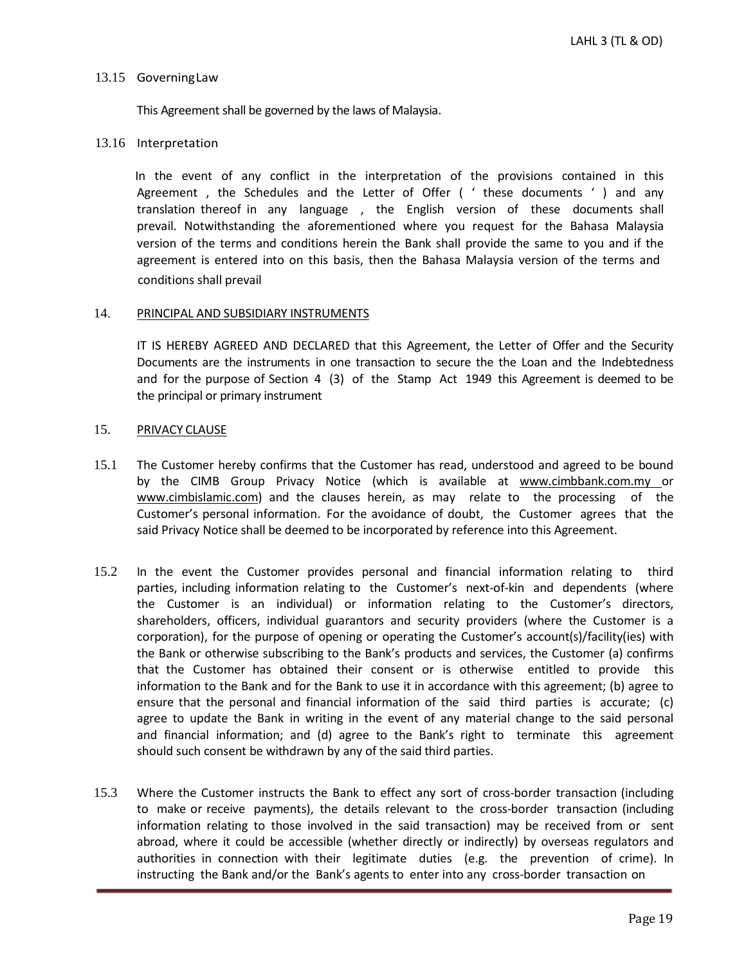#### 13.15 GoverningLaw

This Agreement shall be governed by the laws of Malaysia.

#### 13.16 Interpretation

In the event of any conflict in the interpretation of the provisions contained in this Agreement , the Schedules and the Letter of Offer ( ' these documents ' ) and any translation thereof in any language , the English version of these documents shall prevail. Notwithstanding the aforementioned where you request for the Bahasa Malaysia version of the terms and conditions herein the Bank shall provide the same to you and if the agreement is entered into on this basis, then the Bahasa Malaysia version of the terms and conditions shall prevail

#### 14. PRINCIPAL AND SUBSIDIARY INSTRUMENTS

IT IS HEREBY AGREED AND DECLARED that this Agreement, the Letter of Offer and the Security Documents are the instruments in one transaction to secure the the Loan and the Indebtedness and for the purpose of Section 4 (3) of the Stamp Act 1949 this Agreement is deemed to be the principal or primary instrument

# 15. PRIVACY CLAUSE

- 15.1 The Customer hereby confirms that the Customer has read, understood and agreed to be bound by the CIMB Group Privacy Notice (which is available at [www.cimbbank.com.my](http://www.cimbbank.com.my/) or www.cimbislamic.com) and the clauses herein, as may relate to the processing of the Customer's personal information. For the avoidance of doubt, the Customer agrees that the said Privacy Notice shall be deemed to be incorporated by reference into this Agreement.
- 15.2 In the event the Customer provides personal and financial information relating to third parties, including information relating to the Customer's next-of-kin and dependents (where the Customer is an individual) or information relating to the Customer's directors, shareholders, officers, individual guarantors and security providers (where the Customer is a corporation), for the purpose of opening or operating the Customer's account(s)/facility(ies) with the Bank or otherwise subscribing to the Bank's products and services, the Customer (a) confirms that the Customer has obtained their consent or is otherwise entitled to provide this information to the Bank and for the Bank to use it in accordance with this agreement; (b) agree to ensure that the personal and financial information of the said third parties is accurate; (c) agree to update the Bank in writing in the event of any material change to the said personal and financial information; and (d) agree to the Bank's right to terminate this agreement should such consent be withdrawn by any of the said third parties.
- 15.3 Where the Customer instructs the Bank to effect any sort of cross-border transaction (including to make or receive payments), the details relevant to the cross-border transaction (including information relating to those involved in the said transaction) may be received from or sent abroad, where it could be accessible (whether directly or indirectly) by overseas regulators and authorities in connection with their legitimate duties (e.g. the prevention of crime). In instructing the Bank and/or the Bank's agents to enter into any cross-border transaction on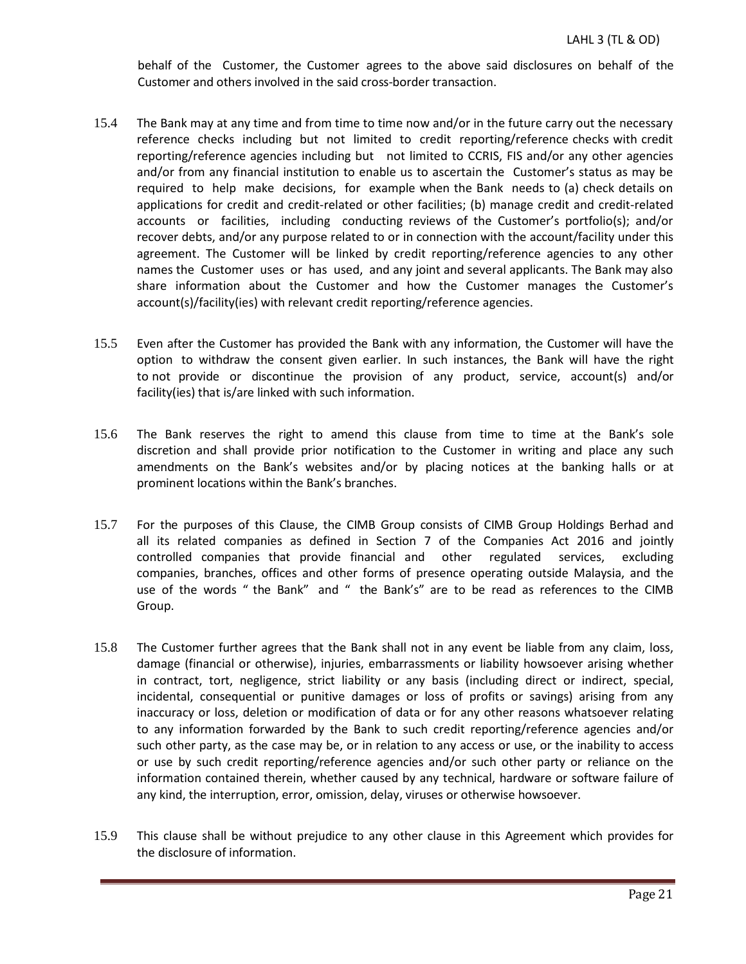behalf of the Customer, the Customer agrees to the above said disclosures on behalf of the Customer and others involved in the said cross-border transaction.

- 15.4 The Bank may at any time and from time to time now and/or in the future carry out the necessary reference checks including but not limited to credit reporting/reference checks with credit reporting/reference agencies including but not limited to CCRIS, FIS and/or any other agencies and/or from any financial institution to enable us to ascertain the Customer's status as may be required to help make decisions, for example when the Bank needs to (a) check details on applications for credit and credit-related or other facilities; (b) manage credit and credit-related accounts or facilities, including conducting reviews of the Customer's portfolio(s); and/or recover debts, and/or any purpose related to or in connection with the account/facility under this agreement. The Customer will be linked by credit reporting/reference agencies to any other names the Customer uses or has used, and any joint and several applicants. The Bank may also share information about the Customer and how the Customer manages the Customer's account(s)/facility(ies) with relevant credit reporting/reference agencies.
- 15.5 Even after the Customer has provided the Bank with any information, the Customer will have the option to withdraw the consent given earlier. In such instances, the Bank will have the right to not provide or discontinue the provision of any product, service, account(s) and/or facility(ies) that is/are linked with such information.
- 15.6 The Bank reserves the right to amend this clause from time to time at the Bank's sole discretion and shall provide prior notification to the Customer in writing and place any such amendments on the Bank's websites and/or by placing notices at the banking halls or at prominent locations within the Bank's branches.
- 15.7 For the purposes of this Clause, the CIMB Group consists of CIMB Group Holdings Berhad and all its related companies as defined in Section 7 of the Companies Act 2016 and jointly controlled companies that provide financial and other regulated services, excluding companies, branches, offices and other forms of presence operating outside Malaysia, and the use of the words " the Bank" and " the Bank's" are to be read as references to the CIMB Group.
- 15.8 The Customer further agrees that the Bank shall not in any event be liable from any claim, loss, damage (financial or otherwise), injuries, embarrassments or liability howsoever arising whether in contract, tort, negligence, strict liability or any basis (including direct or indirect, special, incidental, consequential or punitive damages or loss of profits or savings) arising from any inaccuracy or loss, deletion or modification of data or for any other reasons whatsoever relating to any information forwarded by the Bank to such credit reporting/reference agencies and/or such other party, as the case may be, or in relation to any access or use, or the inability to access or use by such credit reporting/reference agencies and/or such other party or reliance on the information contained therein, whether caused by any technical, hardware or software failure of any kind, the interruption, error, omission, delay, viruses or otherwise howsoever.
- 15.9 This clause shall be without prejudice to any other clause in this Agreement which provides for the disclosure of information.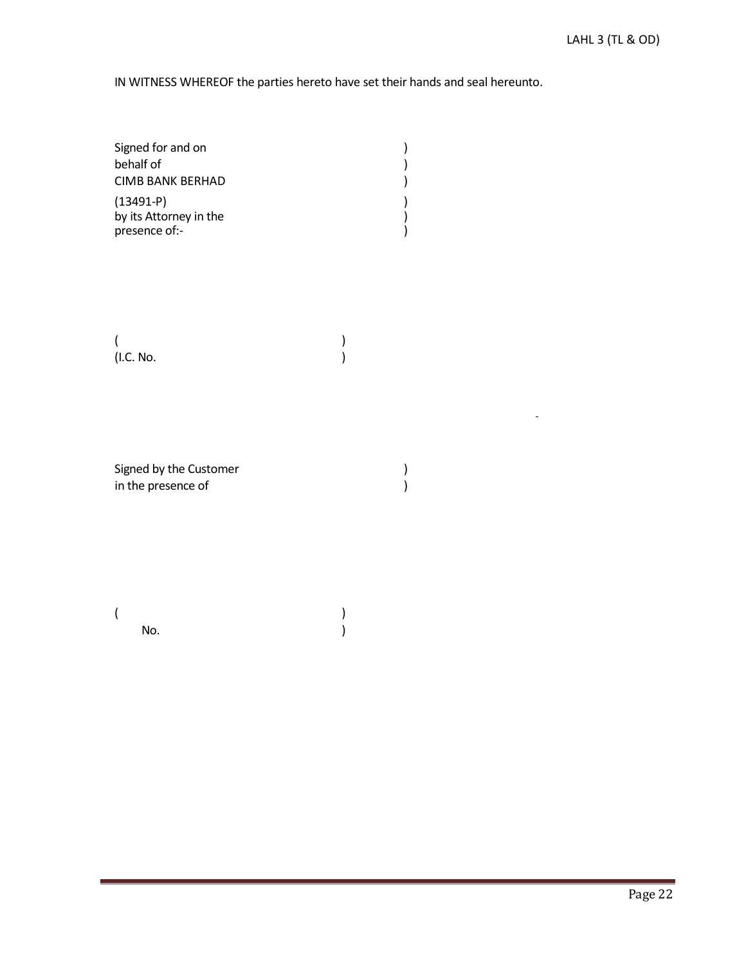IN WITNESS WHEREOF the parties hereto have set their hands and seal hereunto.

| Signed for and on       |  |
|-------------------------|--|
| behalf of               |  |
| <b>CIMB BANK BERHAD</b> |  |
| $(13491-P)$             |  |
| by its Attorney in the  |  |
| presence of:-           |  |

 $($ (I.C. No. )

Signed by the Customer ) <br>in the presence of ) in the presence of

 $($ No.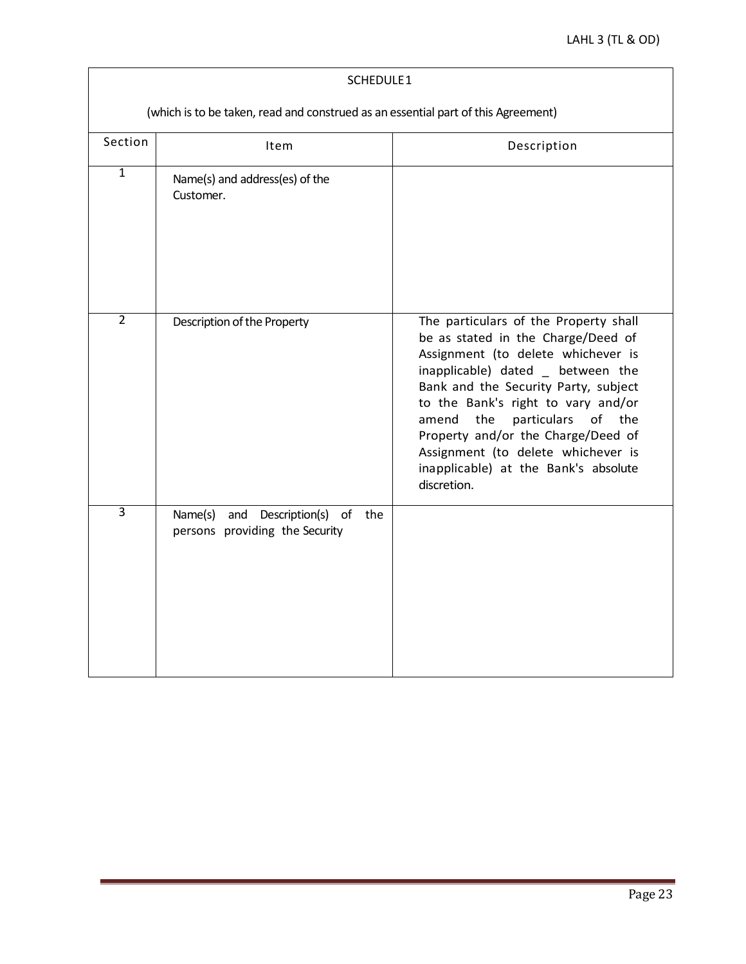| SCHEDULE1                                                                         |                                                                              |                                                                                                                                                                                                                                                                                                                                                                                                                   |  |  |  |  |
|-----------------------------------------------------------------------------------|------------------------------------------------------------------------------|-------------------------------------------------------------------------------------------------------------------------------------------------------------------------------------------------------------------------------------------------------------------------------------------------------------------------------------------------------------------------------------------------------------------|--|--|--|--|
| (which is to be taken, read and construed as an essential part of this Agreement) |                                                                              |                                                                                                                                                                                                                                                                                                                                                                                                                   |  |  |  |  |
| Section                                                                           | Item                                                                         | Description                                                                                                                                                                                                                                                                                                                                                                                                       |  |  |  |  |
| $\mathbf{1}$                                                                      | Name(s) and address(es) of the<br>Customer.                                  |                                                                                                                                                                                                                                                                                                                                                                                                                   |  |  |  |  |
| $\overline{2}$                                                                    | Description of the Property                                                  | The particulars of the Property shall<br>be as stated in the Charge/Deed of<br>Assignment (to delete whichever is<br>inapplicable) dated between the<br>Bank and the Security Party, subject<br>to the Bank's right to vary and/or<br>the<br>particulars<br>amend<br>of<br>the<br>Property and/or the Charge/Deed of<br>Assignment (to delete whichever is<br>inapplicable) at the Bank's absolute<br>discretion. |  |  |  |  |
| $\overline{3}$                                                                    | Name(s)<br>and Description(s)<br>of<br>the<br>persons providing the Security |                                                                                                                                                                                                                                                                                                                                                                                                                   |  |  |  |  |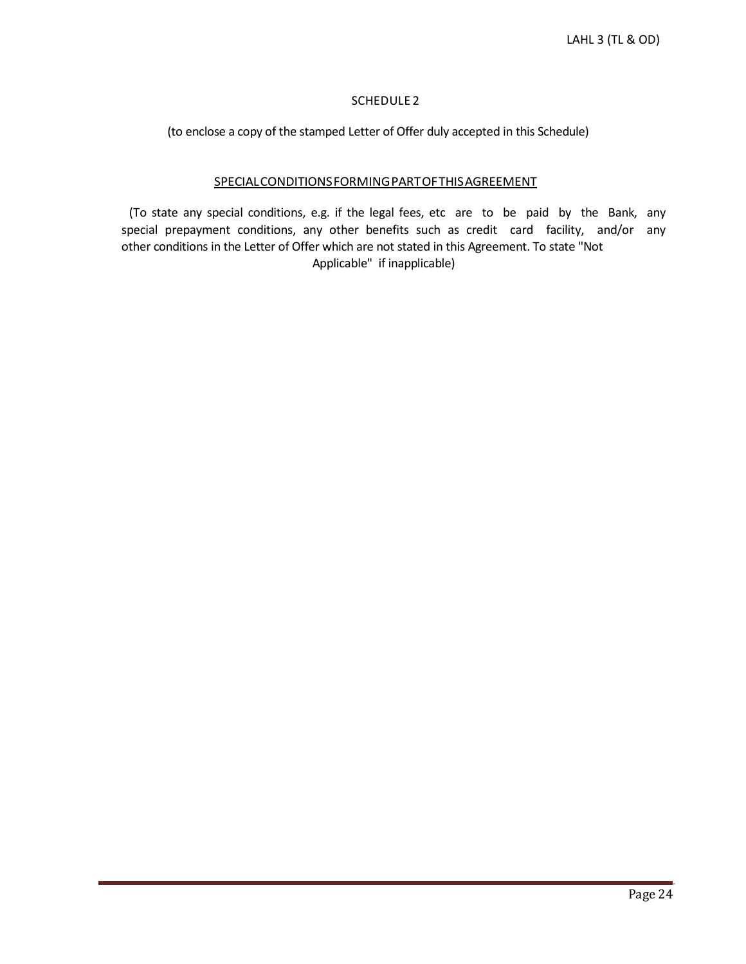# SCHEDULE 2

(to enclose a copy of the stamped Letter of Offer duly accepted in this Schedule)

## SPECIALCONDITIONSFORMINGPARTOFTHISAGREEMENT

 $\mathbf{I}$ 

(To state any special conditions, e.g. if the legal fees, etc are to be paid by the Bank, any special prepayment conditions, any other benefits such as credit card facility, and/or any other conditions in the Letter of Offer which are not stated in this Agreement. To state "Not Applicable" if inapplicable)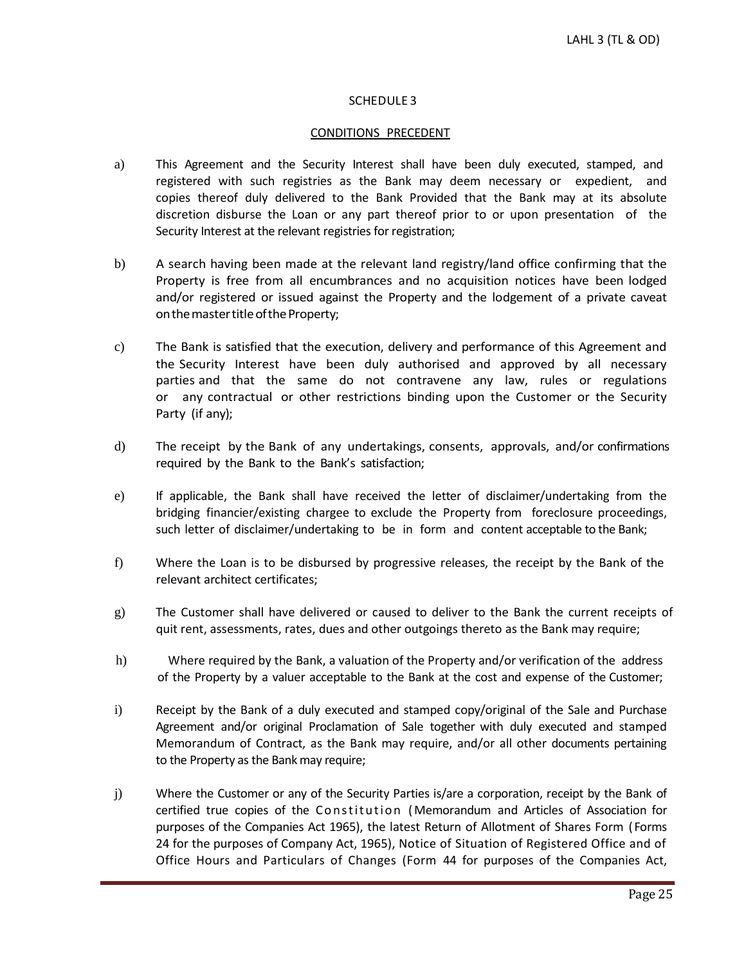## SCHEDULE 3

## CONDITIONS PRECEDENT

- a) This Agreement and the Security Interest shall have been duly executed, stamped, and registered with such registries as the Bank may deem necessary or expedient, and copies thereof duly delivered to the Bank Provided that the Bank may at its absolute discretion disburse the Loan or any part thereof prior to or upon presentation of the Security Interest at the relevant registries for registration;
- b) A search having been made at the relevant land registry/land office confirming that the Property is free from all encumbrances and no acquisition notices have been lodged and/or registered or issued against the Property and the lodgement of a private caveat on the master title of the Property;
- c) The Bank is satisfied that the execution, delivery and performance of this Agreement and the Security Interest have been duly authorised and approved by all necessary parties and that the same do not contravene any law, rules or regulations or any contractual or other restrictions binding upon the Customer or the Security Party (if any);
- d) The receipt by the Bank of any undertakings, consents, approvals, and/or confirmations required by the Bank to the Bank's satisfaction;
- e) If applicable, the Bank shall have received the letter of disclaimer/undertaking from the bridging financier/existing chargee to exclude the Property from foreclosure proceedings, such letter of disclaimer/undertaking to be in form and content acceptable to the Bank;
- f) Where the Loan is to be disbursed by progressive releases, the receipt by the Bank of the relevant architect certificates;
- g) The Customer shall have delivered or caused to deliver to the Bank the current receipts of quit rent, assessments, rates, dues and other outgoings thereto as the Bank may require;
- h) Where required by the Bank, a valuation of the Property and/or verification of the address of the Property by a valuer acceptable to the Bank at the cost and expense of the Customer;
- i) Receipt by the Bank of a duly executed and stamped copy/original of the Sale and Purchase Agreement and/or original Proclamation of Sale together with duly executed and stamped Memorandum of Contract, as the Bank may require, and/or all other documents pertaining to the Property as the Bankmay require;
- j) Where the Customer or any of the Security Parties is/are a corporation, receipt by the Bank of certified true copies of the Constitution (Memorandum and Articles of Association for purposes of the Companies Act 1965), the latest Return of Allotment of Shares Form (Forms 24 for the purposes of Company Act, 1965), Notice of Situation of Registered Office and of Office Hours and Particulars of Changes (Form 44 for purposes of the Companies Act,